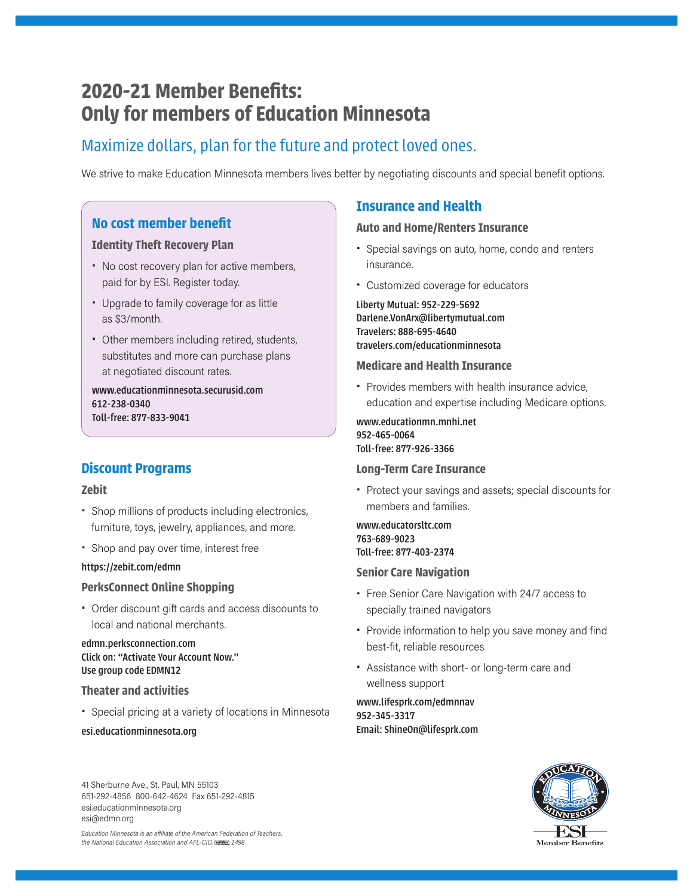# **2020-21 Member Benefits: Only for members of Education Minnesota**

# Maximize dollars, plan for the future and protect loved ones.

We strive to make Education Minnesota members lives better by negotiating discounts and special benefit options.

# **No cost member benefit**

# **Identity Theft Recovery Plan**

- No cost recovery plan for active members, paid for by ESI. Register today.
- Upgrade to family coverage for as little as \$3/month.
- Other members including retired, students, substitutes and more can purchase plans at negotiated discount rates.

www.educationminnesota.securusid.com 612-238-0340 Toll-free: 877-833-9041

# **Discount Programs**

# **Zebit**

- Shop millions of products including electronics, furniture, toys, jewelry, appliances, and more.
- Shop and pay over time, interest free

#### https://zebit.com/edmn

# **PerksConnect Online Shopping**

• Order discount gift cards and access discounts to local and national merchants.

### edmn.perksconnection.com Click on: "Activate Your Account Now." Use group code EDMN12

### **Theater and activities**

• Special pricing at a variety of locations in Minnesota

#### esi.educationminnesota.org

#### 41 Sherburne Ave., St. Paul, MN 55103 651-292-4856 800-642-4624 Fax 651-292-4815 esi.educationminnesota.org esi@edmn.org

*Education Minnesota is an a iliate of the American Federation of Teachers, the National Education Association and AFL-CIO. 1498*

# **Insurance and Health**

### **Auto and Home/Renters Insurance**

- Special savings on auto, home, condo and renters insurance.
- Customized coverage for educators

Liberty Mutual: 952-229-5692 Darlene.VonArx@libertymutual.com Travelers: 888-695-4640 travelers.com/educationminnesota

### **Medicare and Health Insurance**

• Provides members with health insurance advice, education and expertise including Medicare options.

www.educationmn.mnhi.net 952-465-0064 Toll-free: 877-926-3366

# **Long-Term Care Insurance**

• Protect your savings and assets; special discounts for members and families.

www.educatorsltc.com 763-689-9023 Toll-free: 877-403-2374

#### **Senior Care Navigation**

- Free Senior Care Navigation with 24/7 access to specially trained navigators
- Provide information to help you save money and find best-fit, reliable resources
- Assistance with short- or long-term care and wellness support

#### www.lifesprk.com/edmnnav 952-345-3317 Email: ShineOn@lifesprk.com